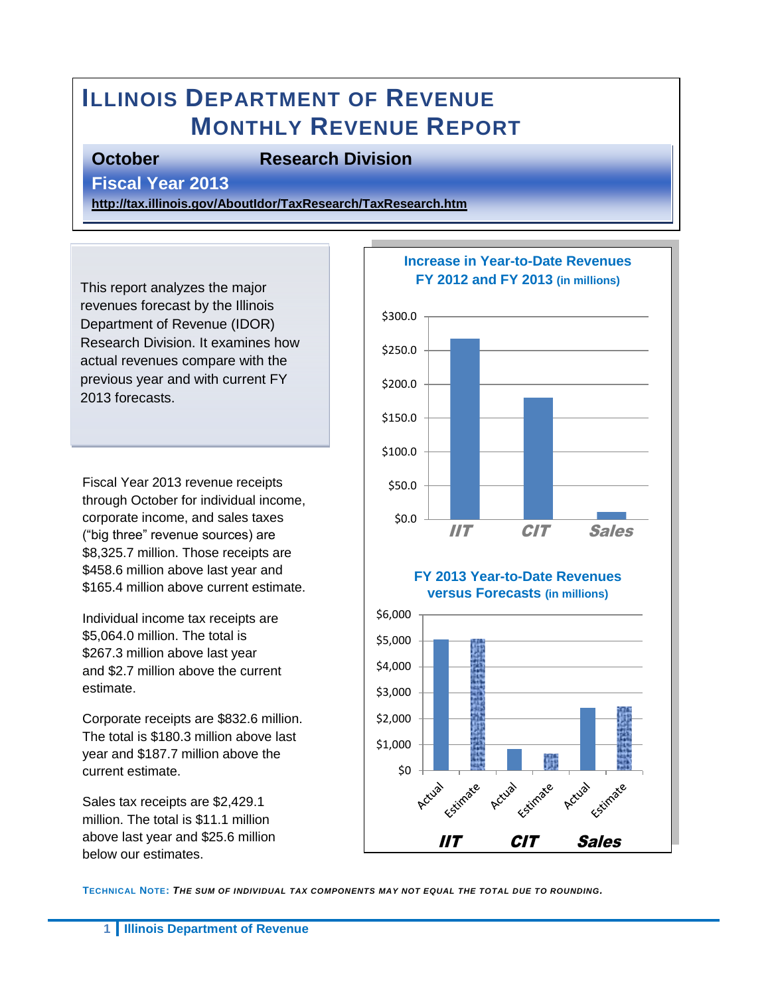# **ILLINOIS DEPARTMENT OF REVENUE MONTHLY REVENUE REPORT**

### **October Research Division**

**Fiscal Year 2013** 

**<http://tax.illinois.gov/AboutIdor/TaxResearch/TaxResearch.htm>**

This report analyzes the major revenues forecast by the Illinois Department of Revenue (IDOR) Research Division. It examines how actual revenues compare with the previous year and with current FY 2013 forecasts.

Fiscal Year 2013 revenue receipts through October for individual income, corporate income, and sales taxes ("big three" revenue sources) are \$8,325.7 million. Those receipts are \$458.6 million above last year and \$165.4 million above current estimate.

Individual income tax receipts are \$5,064.0 million. The total is \$267.3 million above last year and \$2.7 million above the current estimate.

Corporate receipts are \$832.6 million. The total is \$180.3 million above last year and \$187.7 million above the current estimate.

Sales tax receipts are \$2,429.1 million. The total is \$11.1 million above last year and \$25.6 million below our estimates.



**TECHNICAL NOTE:** *THE SUM OF INDIVIDUAL TAX COMPONENTS MAY NOT EQUAL THE TOTAL DUE TO ROUNDING.*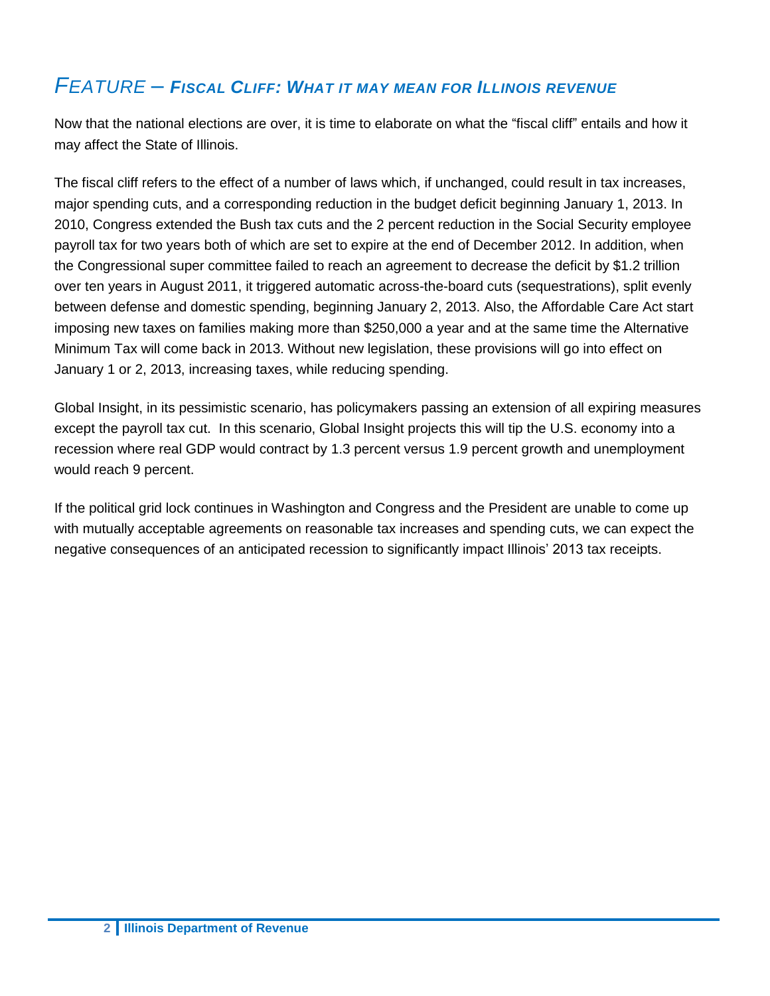## *FEATURE – FISCAL CLIFF: WHAT IT MAY MEAN FOR ILLINOIS REVENUE*

Now that the national elections are over, it is time to elaborate on what the "fiscal cliff" entails and how it may affect the State of Illinois.

The fiscal cliff refers to the effect of a number of laws which, if unchanged, could result in tax increases, major spending cuts, and a corresponding reduction in the budget deficit beginning January 1, 2013. In 2010, Congress extended the Bush tax cuts and the 2 percent reduction in the Social Security employee payroll tax for two years both of which are set to expire at the end of December 2012. In addition, when the Congressional super committee failed to reach an agreement to decrease the deficit by \$1.2 trillion over ten years in August 2011, it triggered automatic across-the-board cuts (sequestrations), split evenly between defense and domestic spending, beginning January 2, 2013. Also, the Affordable Care Act start imposing new taxes on families making more than \$250,000 a year and at the same time the Alternative Minimum Tax will come back in 2013. Without new legislation, these provisions will go into effect on January 1 or 2, 2013, increasing taxes, while reducing spending.

Global Insight, in its pessimistic scenario, has policymakers passing an extension of all expiring measures except the payroll tax cut. In this scenario, Global Insight projects this will tip the U.S. economy into a recession where real GDP would contract by 1.3 percent versus 1.9 percent growth and unemployment would reach 9 percent.

If the political grid lock continues in Washington and Congress and the President are unable to come up with mutually acceptable agreements on reasonable tax increases and spending cuts, we can expect the negative consequences of an anticipated recession to significantly impact Illinois' 2013 tax receipts.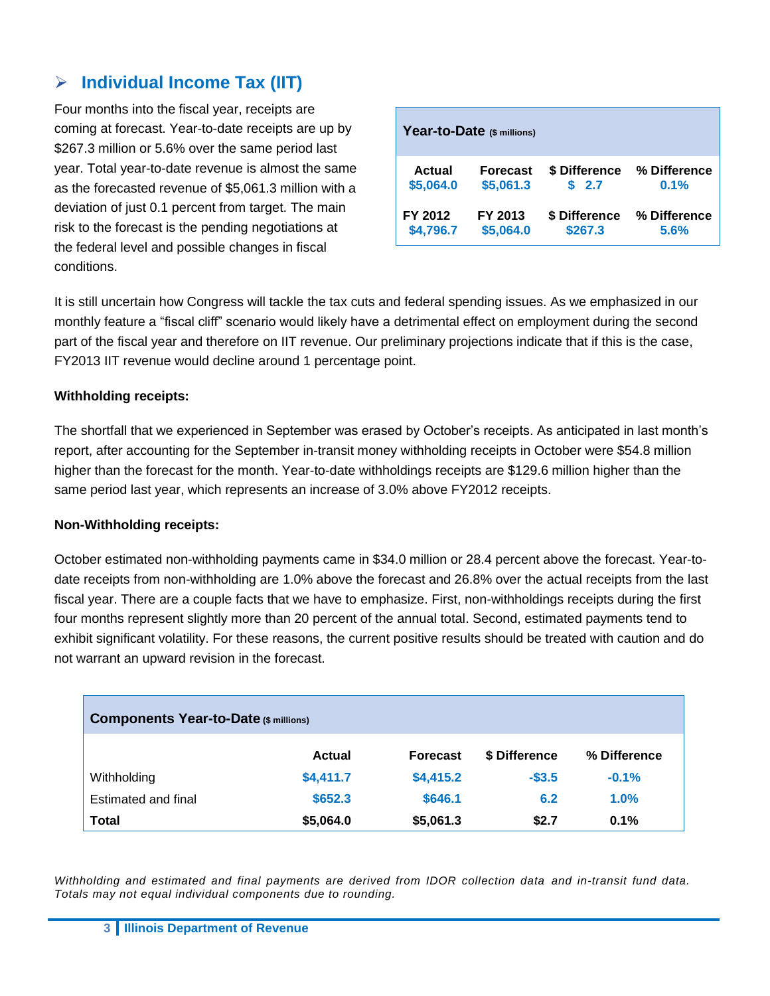### **Individual Income Tax (IIT)**

Four months into the fiscal year, receipts are coming at forecast. Year-to-date receipts are up by \$267.3 million or 5.6% over the same period last year. Total year-to-date revenue is almost the same as the forecasted revenue of \$5,061.3 million with a deviation of just 0.1 percent from target. The main risk to the forecast is the pending negotiations at the federal level and possible changes in fiscal conditions.

|               | Year-to-Date (\$ millions) |               |              |
|---------------|----------------------------|---------------|--------------|
| <b>Actual</b> | <b>Forecast</b>            | \$ Difference | % Difference |
| \$5,064.0     | \$5,061.3                  | \$2.7         | 0.1%         |
| FY 2012       | FY 2013                    | \$ Difference | % Difference |
| \$4,796.7     | \$5,064.0                  | \$267.3       | 5.6%         |

It is still uncertain how Congress will tackle the tax cuts and federal spending issues. As we emphasized in our monthly feature a "fiscal cliff" scenario would likely have a detrimental effect on employment during the second part of the fiscal year and therefore on IIT revenue. Our preliminary projections indicate that if this is the case, FY2013 IIT revenue would decline around 1 percentage point.

#### **Withholding receipts:**

The shortfall that we experienced in September was erased by October's receipts. As anticipated in last month's report, after accounting for the September in-transit money withholding receipts in October were \$54.8 million higher than the forecast for the month. Year-to-date withholdings receipts are \$129.6 million higher than the same period last year, which represents an increase of 3.0% above FY2012 receipts.

#### **Non-Withholding receipts:**

October estimated non-withholding payments came in \$34.0 million or 28.4 percent above the forecast. Year-todate receipts from non-withholding are 1.0% above the forecast and 26.8% over the actual receipts from the last fiscal year. There are a couple facts that we have to emphasize. First, non-withholdings receipts during the first four months represent slightly more than 20 percent of the annual total. Second, estimated payments tend to exhibit significant volatility. For these reasons, the current positive results should be treated with caution and do not warrant an upward revision in the forecast.

| <b>Components Year-to-Date (\$ millions)</b> |               |                 |               |              |  |  |
|----------------------------------------------|---------------|-----------------|---------------|--------------|--|--|
|                                              | <b>Actual</b> | <b>Forecast</b> | \$ Difference | % Difference |  |  |
| Withholding                                  | \$4,411.7     | \$4,415.2       | $-$3.5$       | $-0.1%$      |  |  |
| Estimated and final                          | \$652.3       | \$646.1         | 6.2           | 1.0%         |  |  |
| Total                                        | \$5,064.0     | \$5,061.3       | \$2.7         | 0.1%         |  |  |

*Withholding and estimated and final payments are derived from IDOR collection data and in-transit fund data. Totals may not equal individual components due to rounding.*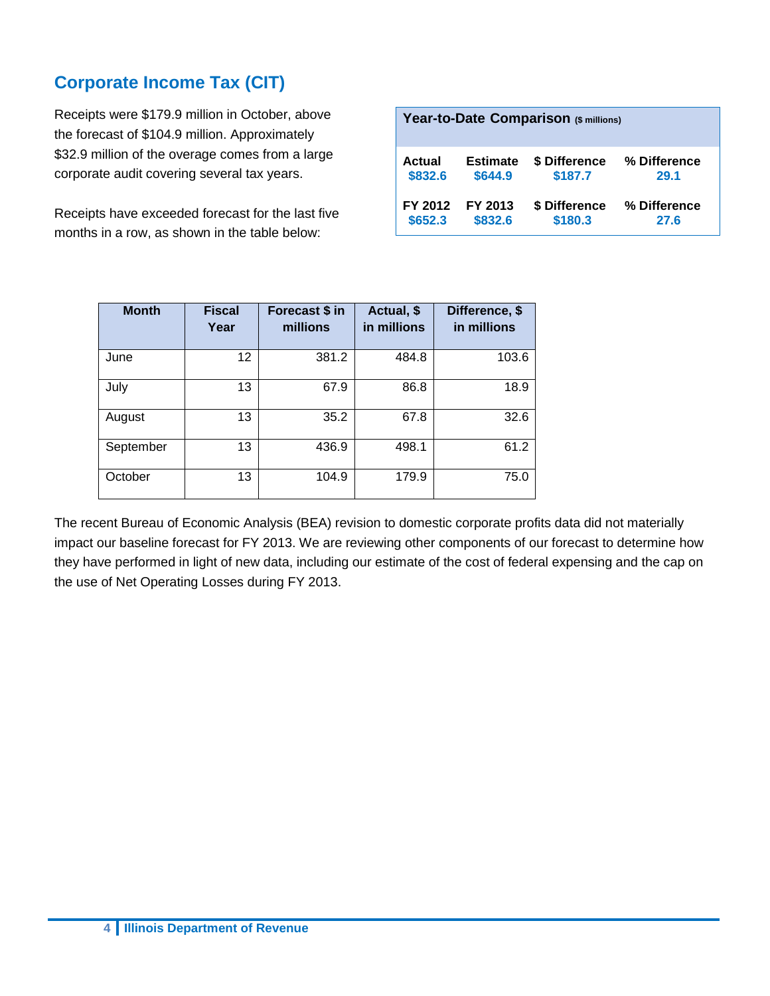### **Corporate Income Tax (CIT)**

Receipts were \$179.9 million in October, above the forecast of \$104.9 million. Approximately \$32.9 million of the overage comes from a large corporate audit covering several tax years.

Receipts have exceeded forecast for the last five months in a row, as shown in the table below:

| Year-to-Date Comparison (\$ millions) |                 |               |              |  |  |
|---------------------------------------|-----------------|---------------|--------------|--|--|
| Actual                                | <b>Estimate</b> | \$ Difference | % Difference |  |  |
| \$832.6                               | \$644.9         | \$187.7       | 29.1         |  |  |
| FY 2012                               | FY 2013         | \$ Difference | % Difference |  |  |
| \$652.3                               | \$832.6         | \$180.3       | 27.6         |  |  |

| <b>Month</b> | <b>Fiscal</b><br>Year | Forecast \$ in<br>millions | Actual, \$<br>in millions | Difference, \$<br>in millions |
|--------------|-----------------------|----------------------------|---------------------------|-------------------------------|
| June         | 12                    | 381.2                      | 484.8                     | 103.6                         |
| July         | 13                    | 67.9                       | 86.8                      | 18.9                          |
| August       | 13                    | 35.2                       | 67.8                      | 32.6                          |
| September    | 13                    | 436.9                      | 498.1                     | 61.2                          |
| October      | 13                    | 104.9                      | 179.9                     | 75.0                          |

The recent Bureau of Economic Analysis (BEA) revision to domestic corporate profits data did not materially impact our baseline forecast for FY 2013. We are reviewing other components of our forecast to determine how they have performed in light of new data, including our estimate of the cost of federal expensing and the cap on the use of Net Operating Losses during FY 2013.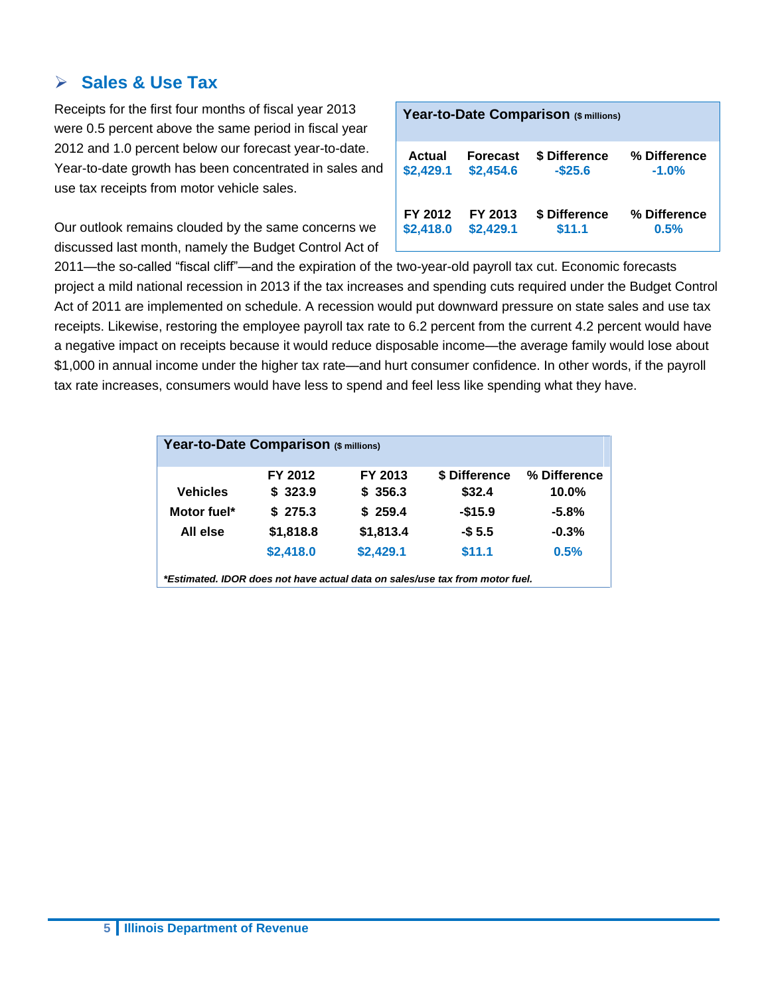### **Sales & Use Tax**

Receipts for the first four months of fiscal year 2013 were 0.5 percent above the same period in fiscal year 2012 and 1.0 percent below our forecast year-to-date. Year-to-date growth has been concentrated in sales and use tax receipts from motor vehicle sales.

Our outlook remains clouded by the same concerns we discussed last month, namely the Budget Control Act of

| Year-to-Date Comparison (\$ millions) |                 |               |              |  |  |  |
|---------------------------------------|-----------------|---------------|--------------|--|--|--|
| <b>Actual</b>                         | <b>Forecast</b> | \$ Difference | % Difference |  |  |  |
| \$2,429.1                             | \$2,454.6       | $-$25.6$      | $-1.0%$      |  |  |  |
| FY 2012                               | FY 2013         | \$ Difference | % Difference |  |  |  |
| \$2,418.0                             | \$2,429.1       | \$11.1        | 0.5%         |  |  |  |

2011—the so-called "fiscal cliff"—and the expiration of the two-year-old payroll tax cut. Economic forecasts project a mild national recession in 2013 if the tax increases and spending cuts required under the Budget Control Act of 2011 are implemented on schedule. A recession would put downward pressure on state sales and use tax receipts. Likewise, restoring the employee payroll tax rate to 6.2 percent from the current 4.2 percent would have a negative impact on receipts because it would reduce disposable income—the average family would lose about \$1,000 in annual income under the higher tax rate—and hurt consumer confidence. In other words, if the payroll tax rate increases, consumers would have less to spend and feel less like spending what they have.

| Year-to-Date Comparison (\$ millions)                                        |           |           |               |              |  |
|------------------------------------------------------------------------------|-----------|-----------|---------------|--------------|--|
|                                                                              | FY 2012   | FY 2013   | \$ Difference | % Difference |  |
| <b>Vehicles</b>                                                              | \$323.9   | \$356.3   | \$32.4        | $10.0\%$     |  |
| Motor fuel*                                                                  | \$275.3   | \$259.4   | $-$15.9$      | $-5.8%$      |  |
| All else                                                                     | \$1,818.8 | \$1,813.4 | $-$5.5$       | $-0.3%$      |  |
|                                                                              | \$2,418.0 | \$2,429.1 | \$11.1        | 0.5%         |  |
| *Estimated. IDOR does not have actual data on sales/use tax from motor fuel. |           |           |               |              |  |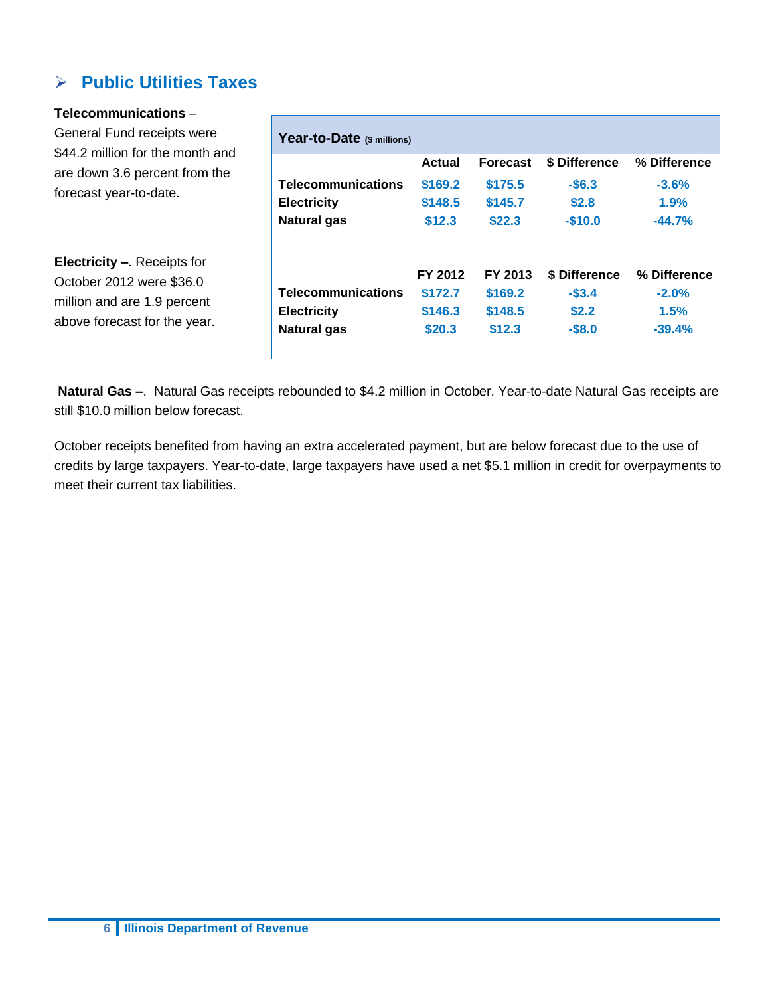### **Public Utilities Taxes**

#### **Telecommunications** –

General Fund receipts were \$44.2 million for the month and are down 3.6 percent from the forecast year-to-date.

**Electricity –**. Receipts for October 2012 were \$36.0 million and are 1.9 percent above forecast for the year.

| Year-to-Date (\$ millions) |         |                 |               |              |
|----------------------------|---------|-----------------|---------------|--------------|
|                            | Actual  | <b>Forecast</b> | \$ Difference | % Difference |
| <b>Telecommunications</b>  | \$169.2 | \$175.5         | $-$6.3$       | $-3.6%$      |
| <b>Electricity</b>         | \$148.5 | \$145.7         | \$2.8         | 1.9%         |
| Natural gas                | \$12.3  | \$22.3          | $-$10.0$      | $-44.7%$     |
|                            | FY 2012 | FY 2013         | \$ Difference | % Difference |
| <b>Telecommunications</b>  | \$172.7 | \$169.2         | $-$3.4$       | $-2.0%$      |
| <b>Electricity</b>         | \$146.3 | \$148.5         | \$2.2         | 1.5%         |
|                            | \$20.3  | \$12.3          | $-$8.0$       | $-39.4%$     |

**Natural Gas –**. Natural Gas receipts rebounded to \$4.2 million in October. Year-to-date Natural Gas receipts are still \$10.0 million below forecast.

October receipts benefited from having an extra accelerated payment, but are below forecast due to the use of credits by large taxpayers. Year-to-date, large taxpayers have used a net \$5.1 million in credit for overpayments to meet their current tax liabilities.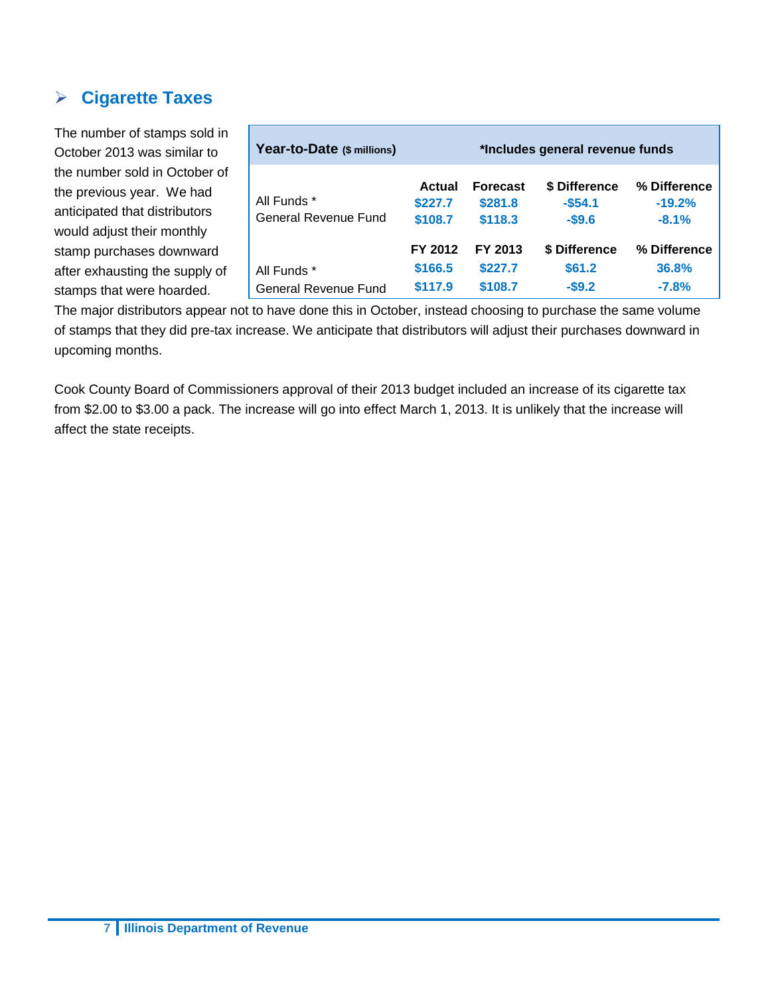### **Cigarette Taxes**

The number of stamps sold in October 2013 was similar to the number sold in October of the previous year. We had anticipated that distributors would adjust their monthly stamp purchases downward after exhausting the supply of stamps that were hoarded.

| Year-to-Date (\$ millions)          | *Includes general revenue funds |                                       |                                      |                                     |
|-------------------------------------|---------------------------------|---------------------------------------|--------------------------------------|-------------------------------------|
| All Funds *<br>General Revenue Fund | Actual<br>\$227.7<br>\$108.7    | <b>Forecast</b><br>\$281.8<br>\$118.3 | \$ Difference<br>$-$54.1$<br>$-$9.6$ | % Difference<br>$-19.2%$<br>$-8.1%$ |
| All Funds *<br>General Revenue Fund | FY 2012<br>\$166.5<br>\$117.9   | FY 2013<br>\$227.7<br>\$108.7         | \$ Difference<br>\$61.2<br>$-$ \$9.2 | % Difference<br>36.8%<br>$-7.8%$    |

The major distributors appear not to have done this in October, instead choosing to purchase the same volume of stamps that they did pre-tax increase. We anticipate that distributors will adjust their purchases downward in upcoming months.

Cook County Board of Commissioners approval of their 2013 budget included an increase of its cigarette tax from \$2.00 to \$3.00 a pack. The increase will go into effect March 1, 2013. It is unlikely that the increase will affect the state receipts.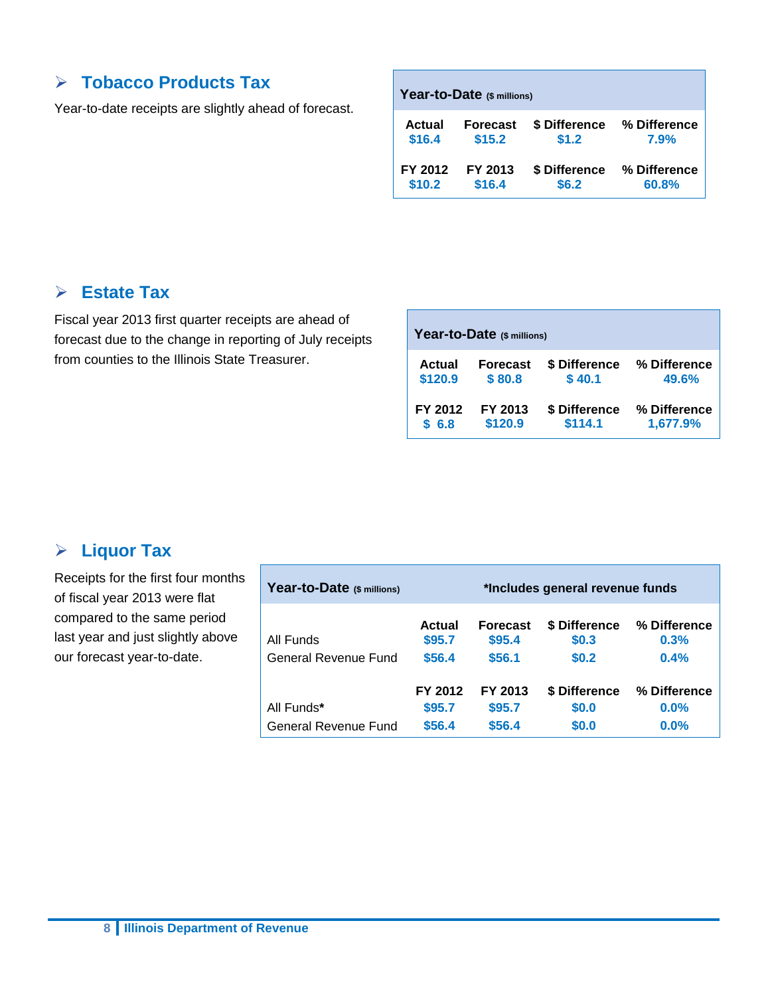### **Tobacco Products Tax**

Year-to-date receipts are slightly ahead of forecast.

| Actual  | <b>Forecast</b> | \$ Difference | % Difference |
|---------|-----------------|---------------|--------------|
| \$16.4  | \$15.2          | \$1.2         | 7.9%         |
| FY 2012 | FY 2013         | \$ Difference | % Difference |
| \$10.2  | \$16.4          | \$6.2\$       | 60.8%        |

### **Estate Tax**

Fiscal year 2013 first quarter receipts are ahead of forecast due to the change in reporting of July receipts from counties to the Illinois State Treasurer.

| Year-to-Date (\$ millions) |                 |               |              |  |  |  |
|----------------------------|-----------------|---------------|--------------|--|--|--|
| Actual                     | <b>Forecast</b> | \$ Difference | % Difference |  |  |  |
| \$120.9                    | \$80.8          | \$40.1        | 49.6%        |  |  |  |
| FY 2012                    | FY 2013         | \$ Difference | % Difference |  |  |  |
| \$6.8                      | \$120.9         | \$114.1       | 1,677.9%     |  |  |  |

### **Liquor Tax**

Receipts for the first four months of fiscal year 2013 were flat compared to the same period last year and just slightly above our forecast year-to-date.

| Year-to-Date (\$ millions) | *Includes general revenue funds |                           |                        |                      |
|----------------------------|---------------------------------|---------------------------|------------------------|----------------------|
| All Funds                  | Actual<br>\$95.7                | <b>Forecast</b><br>\$95.4 | \$ Difference<br>\$0.3 | % Difference<br>0.3% |
| General Revenue Fund       | \$56.4                          | \$56.1                    | \$0.2                  | 0.4%                 |
| All Funds*                 | FY 2012<br>\$95.7               | FY 2013<br>\$95.7         | \$ Difference<br>\$0.0 | % Difference<br>0.0% |
| General Revenue Fund       | \$56.4                          | \$56.4                    | \$0.0                  | 0.0%                 |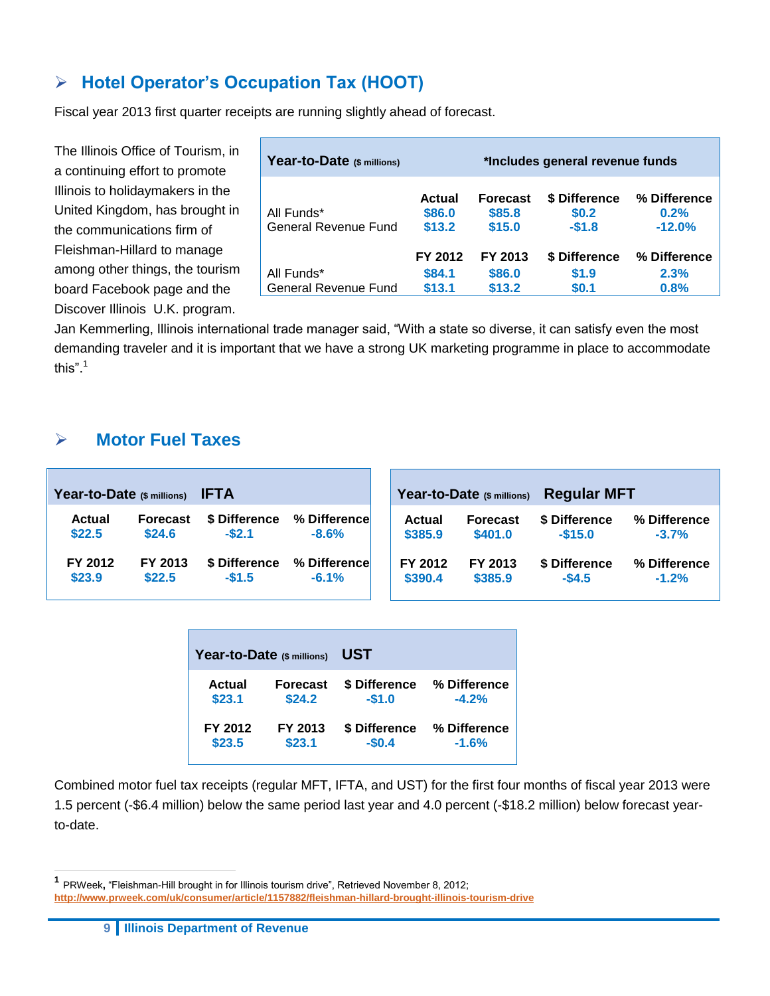### **Hotel Operator's Occupation Tax (HOOT)**

Fiscal year 2013 first quarter receipts are running slightly ahead of forecast.

The Illinois Office of Tourism, in a continuing effort to promote Illinois to holidaymakers in the United Kingdom, has brought in the communications firm of Fleishman-Hillard to manage among other things, the tourism board Facebook page and the Discover Illinois U.K. program.

| Year-to-Date (\$ millions)                | *Includes general revenue funds |                                     |                                   |                                  |  |  |  |  |  |
|-------------------------------------------|---------------------------------|-------------------------------------|-----------------------------------|----------------------------------|--|--|--|--|--|
| All Funds*<br>General Revenue Fund        | Actual<br>\$86.0<br>\$13.2      | <b>Forecast</b><br>\$85.8<br>\$15.0 | \$ Difference<br>\$0.2<br>$-$1.8$ | % Difference<br>0.2%<br>$-12.0%$ |  |  |  |  |  |
| All Funds*<br><b>General Revenue Fund</b> | FY 2012<br>\$84.1<br>\$13.1     | FY 2013<br>\$86.0<br>\$13.2         | \$ Difference<br>\$1.9<br>\$0.1   | % Difference<br>2.3%<br>0.8%     |  |  |  |  |  |

Jan Kemmerling, Illinois international trade manager said, "With a state so diverse, it can satisfy even the most demanding traveler and it is important that we have a strong UK marketing programme in place to accommodate this". $1$ 

### **Motor Fuel Taxes**

| Year-to-Date (\$ millions) |                 | <b>IFTA</b>   |              | <b>Regular MFT</b><br>Year-to-Date (\$ millions) |                 |               |              |  |  |
|----------------------------|-----------------|---------------|--------------|--------------------------------------------------|-----------------|---------------|--------------|--|--|
| <b>Actual</b>              | <b>Forecast</b> | \$ Difference | % Difference | Actual                                           | <b>Forecast</b> | \$ Difference | % Difference |  |  |
| \$22.5                     | \$24.6          | $-$ \$2.1     | $-8.6%$      | \$385.9                                          | \$401.0         | $-$15.0$      | $-3.7%$      |  |  |
| FY 2012                    | FY 2013         | \$ Difference | % Difference | FY 2012                                          | FY 2013         | \$ Difference | % Difference |  |  |
| \$23.9                     | \$22.5          | $-$1.5$       | $-6.1%$      | \$390.4                                          | \$385.9         | $-$4.5$       | $-1.2%$      |  |  |

| Year-to-Date (\$ millions) |                 | UST           |              |
|----------------------------|-----------------|---------------|--------------|
| <b>Actual</b>              | <b>Forecast</b> | \$ Difference | % Difference |
| \$23.1                     | \$24.2          | $-$1.0$       | $-4.2%$      |
| FY 2012                    | FY 2013         | \$ Difference | % Difference |
| \$23.5                     | \$23.1          | $-$0.4$       | $-1.6%$      |

Combined motor fuel tax receipts (regular MFT, IFTA, and UST) for the first four months of fiscal year 2013 were 1.5 percent (-\$6.4 million) below the same period last year and 4.0 percent (-\$18.2 million) below forecast yearto-date.

 $\overline{a}$ 

**<sup>1</sup>** PRWeek, "Fleishman-Hill brought in for Illinois tourism drive", Retrieved November 8, 2012; **<http://www.prweek.com/uk/consumer/article/1157882/fleishman-hillard-brought-illinois-tourism-drive>**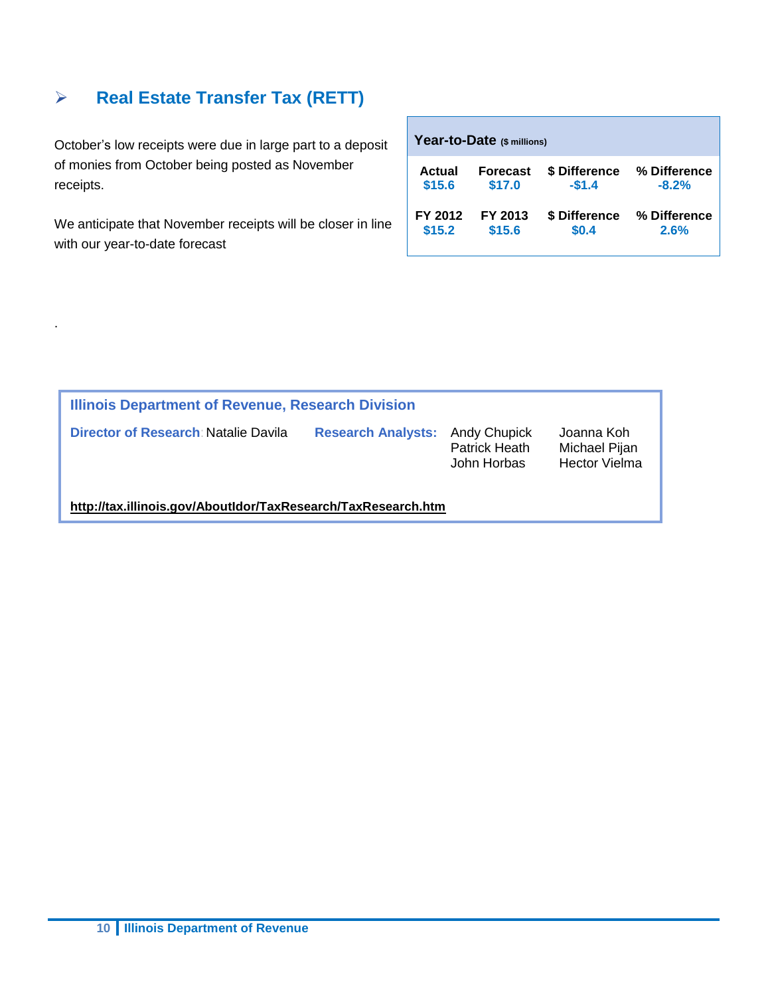### **Real Estate Transfer Tax (RETT)**

October's low receipts were due in large part to a deposit of monies from October being posted as November receipts.

We anticipate that November receipts will be closer in line with our year-to-date forecast

.

| Year-to-Date (\$ millions) |                 |               |              |  |  |  |  |  |  |  |
|----------------------------|-----------------|---------------|--------------|--|--|--|--|--|--|--|
| Actual                     | <b>Forecast</b> | \$ Difference | % Difference |  |  |  |  |  |  |  |
| \$15.6                     | \$17.0          | $-$1.4$       | $-8.2%$      |  |  |  |  |  |  |  |
| FY 2012                    | FY 2013         | \$ Difference | % Difference |  |  |  |  |  |  |  |
| \$15.2                     | \$15.6          | \$0.4         | 2.6%         |  |  |  |  |  |  |  |

| <b>Illinois Department of Revenue, Research Division</b>      |                                        |                              |                                                     |  |  |  |  |  |  |
|---------------------------------------------------------------|----------------------------------------|------------------------------|-----------------------------------------------------|--|--|--|--|--|--|
| Director of Research: Natalie Davila                          | <b>Research Analysts: Andy Chupick</b> | Patrick Heath<br>John Horbas | Joanna Koh<br>Michael Pijan<br><b>Hector Vielma</b> |  |  |  |  |  |  |
| http://tax.illinois.gov/AboutIdor/TaxResearch/TaxResearch.htm |                                        |                              |                                                     |  |  |  |  |  |  |